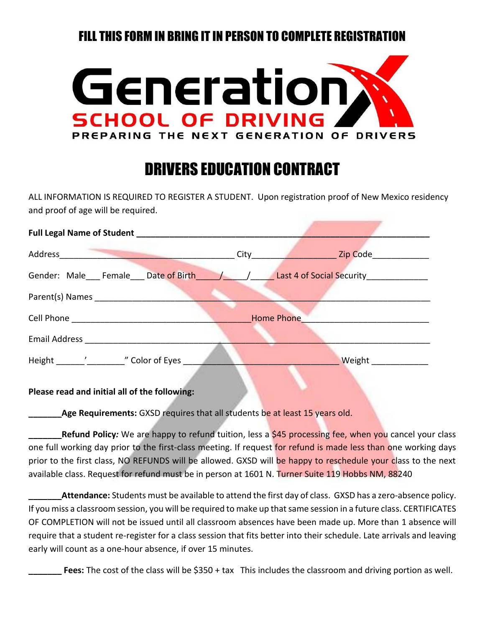## FILL THIS FORM IN BRING IT IN PERSON TO COMPLETE REGISTRATION



## DRIVERS EDUCATION CONTRACT

ALL INFORMATION IS REQUIRED TO REGISTER A STUDENT. Upon registration proof of New Mexico residency and proof of age will be required.

| Address<br>the contract of the contract of the contract of the contract of the contract of | Zip Code<br>City <b>City</b> and the control of the control of the control of the control of the control of the control of the control of the control of the control of the control of the control of the control of the control of the control |
|--------------------------------------------------------------------------------------------|-------------------------------------------------------------------------------------------------------------------------------------------------------------------------------------------------------------------------------------------------|
| Gender: Male Female Date of Birth / / Last 4 of Social Security                            |                                                                                                                                                                                                                                                 |
| Parent(s) Names                                                                            |                                                                                                                                                                                                                                                 |
| Cell Phone <b>Company</b>                                                                  | <b>Home Phone</b>                                                                                                                                                                                                                               |
| <b>Email Address Email Address</b>                                                         |                                                                                                                                                                                                                                                 |
| Height ' "Color of Eyes                                                                    | Weight                                                                                                                                                                                                                                          |

## **Please read and initial all of the following:**

**Age Requirements:** GXSD requires that all students be at least 15 years old.

**Refund Policy***:* We are happy to refund tuition, less a \$45 processing fee, when you cancel your class one full working day prior to the first-class meeting. If request for refund is made less than one working days prior to the first class, NO REFUNDS will be allowed. GXSD will be happy to reschedule your class to the next available class. Request for refund must be in person at 1601 N. Turner Suite 119 Hobbs NM, 88240

Attendance: Students must be available to attend the first day of class. GXSD has a zero-absence policy. If you miss a classroom session, you will be required to make up that same session in a future class. CERTIFICATES OF COMPLETION will not be issued until all classroom absences have been made up. More than 1 absence will require that a student re-register for a class session that fits better into their schedule. Late arrivals and leaving early will count as a one-hour absence, if over 15 minutes.

**\_\_\_\_\_\_\_ Fees:** The cost of the class will be \$350 + tax This includes the classroom and driving portion as well.